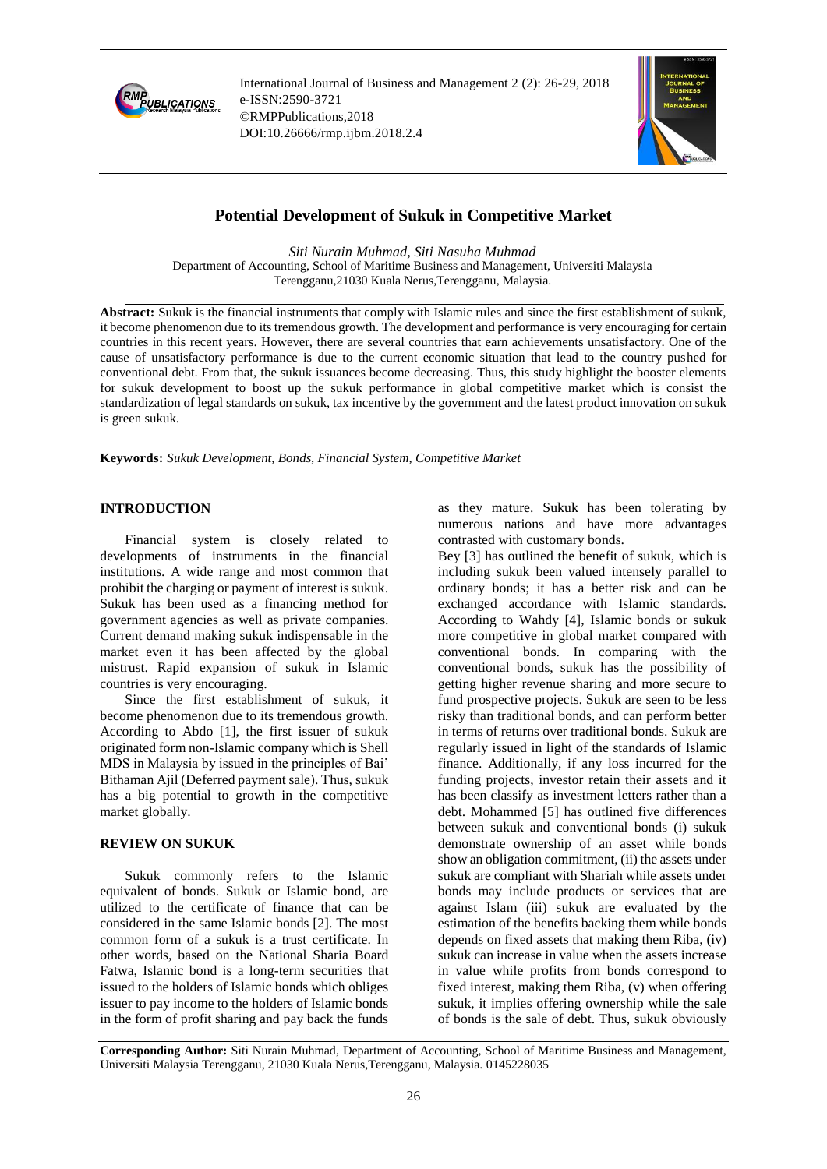

International Journal of Business and Management 2 (2): 26-29, 2018 e-ISSN:2590-3721 ©RMPPublications,2018 DOI:10.26666/rmp.ijbm.2018.2.4



# **Potential Development of Sukuk in Competitive Market**

*Siti Nurain Muhmad, Siti Nasuha Muhmad* Department of Accounting, School of Maritime Business and Management, Universiti Malaysia Terengganu,21030 Kuala Nerus,Terengganu, Malaysia.

**Abstract:** Sukuk is the financial instruments that comply with Islamic rules and since the first establishment of sukuk, it become phenomenon due to its tremendous growth. The development and performance is very encouraging for certain countries in this recent years. However, there are several countries that earn achievements unsatisfactory. One of the cause of unsatisfactory performance is due to the current economic situation that lead to the country pushed for conventional debt. From that, the sukuk issuances become decreasing. Thus, this study highlight the booster elements for sukuk development to boost up the sukuk performance in global competitive market which is consist the standardization of legal standards on sukuk, tax incentive by the government and the latest product innovation on sukuk is green sukuk.

**Keywords:** *Sukuk Development, Bonds, Financial System, Competitive Market*

#### **INTRODUCTION**

Financial system is closely related to developments of instruments in the financial institutions. A wide range and most common that prohibit the charging or payment of interest is sukuk. Sukuk has been used as a financing method for government agencies as well as private companies. Current demand making sukuk indispensable in the market even it has been affected by the global mistrust. Rapid expansion of sukuk in Islamic countries is very encouraging.

Since the first establishment of sukuk, it become phenomenon due to its tremendous growth. According to Abdo [1], the first issuer of sukuk originated form non-Islamic company which is Shell MDS in Malaysia by issued in the principles of Bai' Bithaman Ajil (Deferred payment sale). Thus, sukuk has a big potential to growth in the competitive market globally.

### **REVIEW ON SUKUK**

Sukuk commonly refers to the Islamic equivalent of bonds. Sukuk or Islamic bond, are utilized to the certificate of finance that can be considered in the same Islamic bonds [2]. The most common form of a sukuk is a trust certificate. In other words, based on the National Sharia Board Fatwa, Islamic bond is a long-term securities that issued to the holders of Islamic bonds which obliges issuer to pay income to the holders of Islamic bonds in the form of profit sharing and pay back the funds

as they mature. Sukuk has been tolerating by numerous nations and have more advantages contrasted with customary bonds.

Bey [3] has outlined the benefit of sukuk, which is including sukuk been valued intensely parallel to ordinary bonds; it has a better risk and can be exchanged accordance with Islamic standards. According to Wahdy [4], Islamic bonds or sukuk more competitive in global market compared with conventional bonds. In comparing with the conventional bonds, sukuk has the possibility of getting higher revenue sharing and more secure to fund prospective projects. Sukuk are seen to be less risky than traditional bonds, and can perform better in terms of returns over traditional bonds. Sukuk are regularly issued in light of the standards of Islamic finance. Additionally, if any loss incurred for the funding projects, investor retain their assets and it has been classify as investment letters rather than a debt. Mohammed [5] has outlined five differences between sukuk and conventional bonds (i) sukuk demonstrate ownership of an asset while bonds show an obligation commitment, (ii) the assets under sukuk are compliant with Shariah while assets under bonds may include products or services that are against Islam (iii) sukuk are evaluated by the estimation of the benefits backing them while bonds depends on fixed assets that making them Riba, (iv) sukuk can increase in value when the assets increase in value while profits from bonds correspond to fixed interest, making them Riba, (v) when offering sukuk, it implies offering ownership while the sale of bonds is the sale of debt. Thus, sukuk obviously

**Corresponding Author:** Siti Nurain Muhmad, Department of Accounting, School of Maritime Business and Management, Universiti Malaysia Terengganu, 21030 Kuala Nerus,Terengganu, Malaysia. 0145228035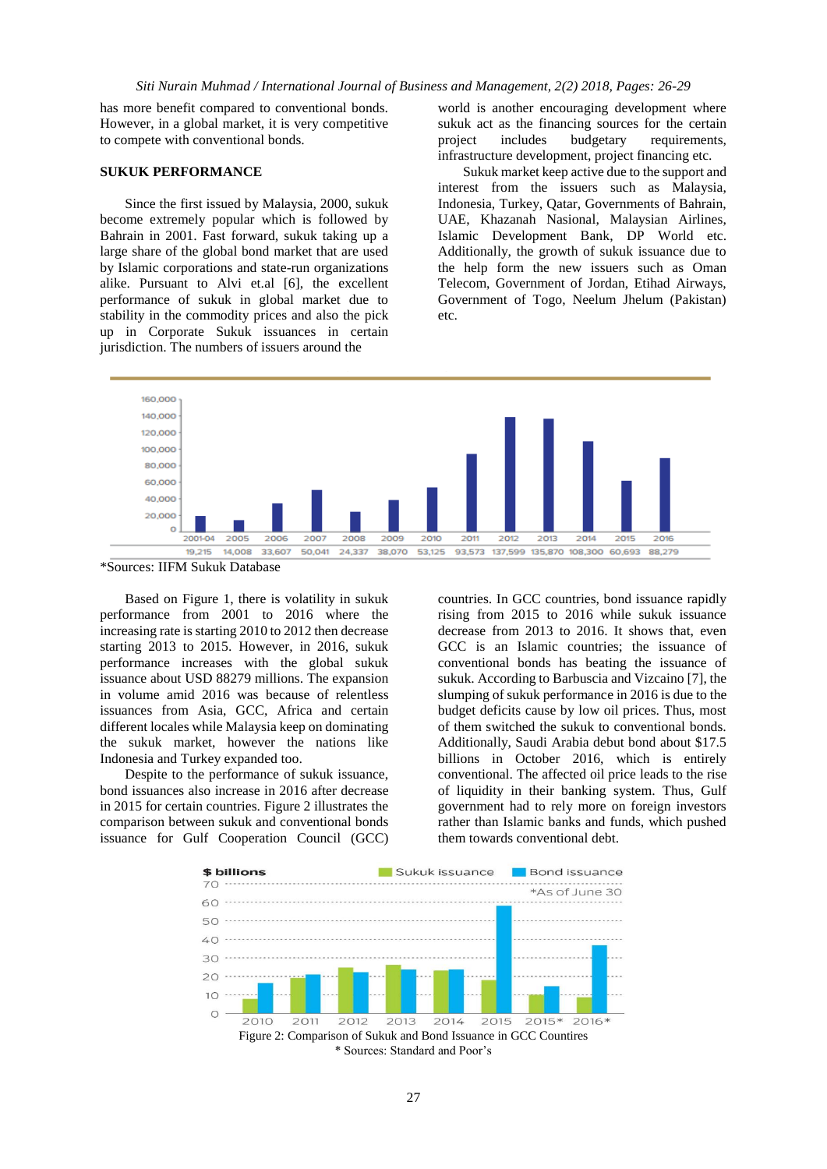has more benefit compared to conventional bonds. However, in a global market, it is very competitive to compete with conventional bonds.

#### **SUKUK PERFORMANCE**

Since the first issued by Malaysia, 2000, sukuk become extremely popular which is followed by Bahrain in 2001. Fast forward, sukuk taking up a large share of the global bond market that are used by Islamic corporations and state-run organizations alike. Pursuant to Alvi et.al [6], the excellent performance of sukuk in global market due to stability in the commodity prices and also the pick up in Corporate Sukuk issuances in certain jurisdiction. The numbers of issuers around the

world is another encouraging development where sukuk act as the financing sources for the certain project includes budgetary requirements, infrastructure development, project financing etc.

Sukuk market keep active due to the support and interest from the issuers such as Malaysia, Indonesia, Turkey, Qatar, Governments of Bahrain, UAE, Khazanah Nasional, Malaysian Airlines, Islamic Development Bank, DP World etc. Additionally, the growth of sukuk issuance due to the help form the new issuers such as Oman Telecom, Government of Jordan, Etihad Airways, Government of Togo, Neelum Jhelum (Pakistan) etc.



\*Sources: IIFM Sukuk Database

Based on Figure 1, there is volatility in sukuk performance from 2001 to 2016 where the increasing rate is starting 2010 to 2012 then decrease starting 2013 to 2015. However, in 2016, sukuk performance increases with the global sukuk issuance about USD 88279 millions. The expansion in volume amid 2016 was because of relentless issuances from Asia, GCC, Africa and certain different locales while Malaysia keep on dominating the sukuk market, however the nations like Indonesia and Turkey expanded too.

Despite to the performance of sukuk issuance, bond issuances also increase in 2016 after decrease in 2015 for certain countries. Figure 2 illustrates the comparison between sukuk and conventional bonds issuance for Gulf Cooperation Council (GCC)

countries. In GCC countries, bond issuance rapidly rising from 2015 to 2016 while sukuk issuance decrease from 2013 to 2016. It shows that, even GCC is an Islamic countries; the issuance of conventional bonds has beating the issuance of sukuk. According to Barbuscia and Vizcaino [7], the slumping of sukuk performance in 2016 is due to the budget deficits cause by low oil prices. Thus, most of them switched the sukuk to conventional bonds. Additionally, Saudi Arabia debut bond about \$17.5 billions in October 2016, which is entirely conventional. The affected oil price leads to the rise of liquidity in their banking system. Thus, Gulf government had to rely more on foreign investors rather than Islamic banks and funds, which pushed them towards conventional debt.

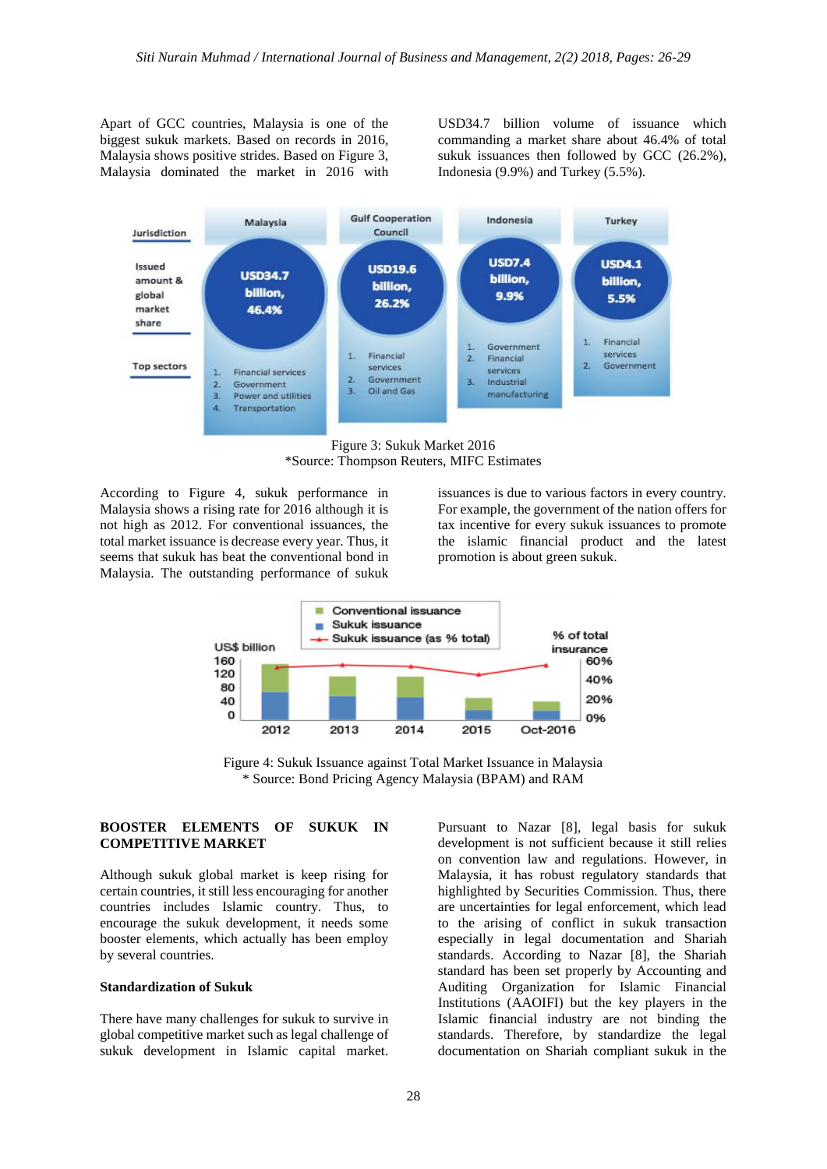Apart of GCC countries, Malaysia is one of the biggest sukuk markets. Based on records in 2016, Malaysia shows positive strides. Based on Figure 3, Malaysia dominated the market in 2016 with USD34.7 billion volume of issuance which commanding a market share about 46.4% of total sukuk issuances then followed by GCC (26.2%), Indonesia (9.9%) and Turkey (5.5%).



Figure 3: Sukuk Market 2016 \*Source: Thompson Reuters, MIFC Estimates

According to Figure 4, sukuk performance in Malaysia shows a rising rate for 2016 although it is not high as 2012. For conventional issuances, the total market issuance is decrease every year. Thus, it seems that sukuk has beat the conventional bond in Malaysia. The outstanding performance of sukuk

issuances is due to various factors in every country. For example, the government of the nation offers for tax incentive for every sukuk issuances to promote the islamic financial product and the latest promotion is about green sukuk.



Figure 4: Sukuk Issuance against Total Market Issuance in Malaysia \* Source: Bond Pricing Agency Malaysia (BPAM) and RAM

# **BOOSTER ELEMENTS OF SUKUK IN COMPETITIVE MARKET**

Although sukuk global market is keep rising for certain countries, it still less encouraging for another countries includes Islamic country. Thus, to encourage the sukuk development, it needs some booster elements, which actually has been employ by several countries.

#### **Standardization of Sukuk**

There have many challenges for sukuk to survive in global competitive market such as legal challenge of sukuk development in Islamic capital market.

Pursuant to Nazar [8], legal basis for sukuk development is not sufficient because it still relies on convention law and regulations. However, in Malaysia, it has robust regulatory standards that highlighted by Securities Commission. Thus, there are uncertainties for legal enforcement, which lead to the arising of conflict in sukuk transaction especially in legal documentation and Shariah standards. According to Nazar [8], the Shariah standard has been set properly by Accounting and Auditing Organization for Islamic Financial Institutions (AAOIFI) but the key players in the Islamic financial industry are not binding the standards. Therefore, by standardize the legal documentation on Shariah compliant sukuk in the